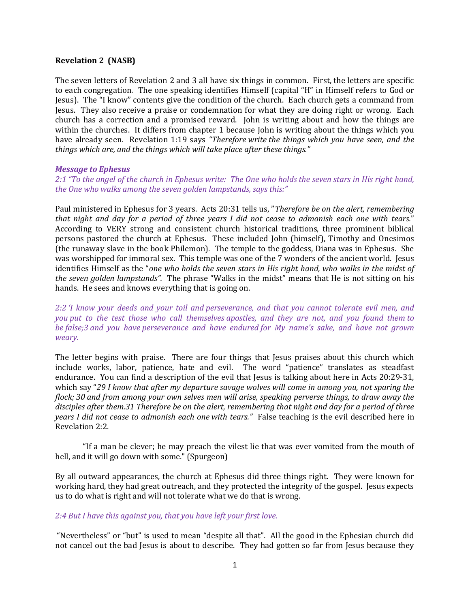#### Revelation 2 (NASB)

The seven letters of Revelation 2 and 3 all have six things in common. First, the letters are specific to each congregation. The one speaking identifies Himself (capital "H" in Himself refers to God or Jesus). The "I know" contents give the condition of the church. Each church gets a command from Jesus. They also receive a praise or condemnation for what they are doing right or wrong. Each church has a correction and a promised reward. John is writing about and how the things are within the churches. It differs from chapter 1 because John is writing about the things which you have already seen. Revelation 1:19 says "Therefore write the things which you have seen, and the things which are, and the things which will take place after these things."

#### Message to Ephesus

2:1 "To the angel of the church in Ephesus write: The One who holds the seven stars in His right hand, the One who walks among the seven golden lampstands, says this:"

Paul ministered in Ephesus for 3 years. Acts 20:31 tells us, "Therefore be on the alert, remembering that night and day for a period of three years I did not cease to admonish each one with tears." According to VERY strong and consistent church historical traditions, three prominent biblical persons pastored the church at Ephesus. These included John (himself), Timothy and Onesimos (the runaway slave in the book Philemon). The temple to the goddess, Diana was in Ephesus. She was worshipped for immoral sex. This temple was one of the 7 wonders of the ancient world. Jesus identifies Himself as the "one who holds the seven stars in His right hand, who walks in the midst of the seven golden lampstands". The phrase "Walks in the midst" means that He is not sitting on his hands. He sees and knows everything that is going on.

2:2 'I know your deeds and your toil and perseverance, and that you cannot tolerate evil men, and you put to the test those who call themselves apostles, and they are not, and you found them to be false;3 and you have perseverance and have endured for My name's sake, and have not grown weary.

The letter begins with praise. There are four things that Jesus praises about this church which include works, labor, patience, hate and evil. The word "patience" translates as steadfast endurance. You can find a description of the evil that Jesus is talking about here in Acts 20:29-31, which say "29 I know that after my departure savage wolves will come in among you, not sparing the flock; 30 and from among your own selves men will arise, speaking perverse things, to draw away the disciples after them.31 Therefore be on the alert, remembering that night and day for a period of three years I did not cease to admonish each one with tears." False teaching is the evil described here in Revelation 2:2.

"If a man be clever; he may preach the vilest lie that was ever vomited from the mouth of hell, and it will go down with some." (Spurgeon)

By all outward appearances, the church at Ephesus did three things right. They were known for working hard, they had great outreach, and they protected the integrity of the gospel. Jesus expects us to do what is right and will not tolerate what we do that is wrong.

### 2:4 But I have this against you, that you have left your first love.

 "Nevertheless" or "but" is used to mean "despite all that". All the good in the Ephesian church did not cancel out the bad Jesus is about to describe. They had gotten so far from Jesus because they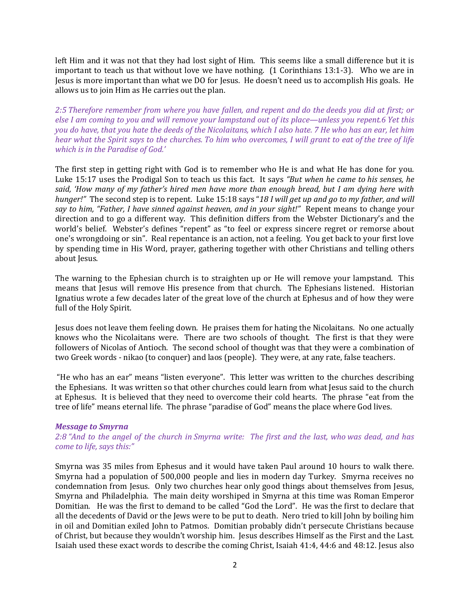left Him and it was not that they had lost sight of Him. This seems like a small difference but it is important to teach us that without love we have nothing. (1 Corinthians 13:1-3). Who we are in Jesus is more important than what we DO for Jesus. He doesn't need us to accomplish His goals. He allows us to join Him as He carries out the plan.

2:5 Therefore remember from where you have fallen, and repent and do the deeds you did at first; or else I am coming to you and will remove your lampstand out of its place—unless you repent.6 Yet this you do have, that you hate the deeds of the Nicolaitans, which I also hate. 7 He who has an ear, let him hear what the Spirit says to the churches. To him who overcomes, I will grant to eat of the tree of life which is in the Paradise of God.'

The first step in getting right with God is to remember who He is and what He has done for you. Luke 15:17 uses the Prodigal Son to teach us this fact. It says "But when he came to his senses, he said, 'How many of my father's hired men have more than enough bread, but I am dying here with hunger!" The second step is to repent. Luke 15:18 says "18 I will get up and go to my father, and will say to him, "Father, I have sinned against heaven, and in your sight!" Repent means to change your direction and to go a different way. This definition differs from the Webster Dictionary's and the world's belief. Webster's defines "repent" as "to feel or express sincere regret or remorse about one's wrongdoing or sin". Real repentance is an action, not a feeling. You get back to your first love by spending time in His Word, prayer, gathering together with other Christians and telling others about Jesus.

The warning to the Ephesian church is to straighten up or He will remove your lampstand. This means that Jesus will remove His presence from that church. The Ephesians listened. Historian Ignatius wrote a few decades later of the great love of the church at Ephesus and of how they were full of the Holy Spirit.

Jesus does not leave them feeling down. He praises them for hating the Nicolaitans. No one actually knows who the Nicolaitans were. There are two schools of thought. The first is that they were followers of Nicolas of Antioch. The second school of thought was that they were a combination of two Greek words - nikao (to conquer) and laos (people). They were, at any rate, false teachers.

 "He who has an ear" means "listen everyone". This letter was written to the churches describing the Ephesians. It was written so that other churches could learn from what Jesus said to the church at Ephesus. It is believed that they need to overcome their cold hearts. The phrase "eat from the tree of life" means eternal life. The phrase "paradise of God" means the place where God lives.

### Message to Smyrna

2:8 "And to the angel of the church in Smyrna write: The first and the last, who was dead, and has come to life, says this:"

Smyrna was 35 miles from Ephesus and it would have taken Paul around 10 hours to walk there. Smyrna had a population of 500,000 people and lies in modern day Turkey. Smyrna receives no condemnation from Jesus. Only two churches hear only good things about themselves from Jesus, Smyrna and Philadelphia. The main deity worshiped in Smyrna at this time was Roman Emperor Domitian. He was the first to demand to be called "God the Lord". He was the first to declare that all the decedents of David or the Jews were to be put to death. Nero tried to kill John by boiling him in oil and Domitian exiled John to Patmos. Domitian probably didn't persecute Christians because of Christ, but because they wouldn't worship him. Jesus describes Himself as the First and the Last. Isaiah used these exact words to describe the coming Christ, Isaiah 41:4, 44:6 and 48:12. Jesus also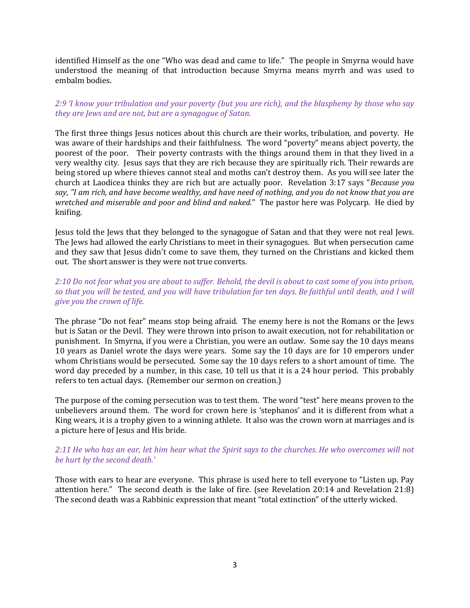identified Himself as the one "Who was dead and came to life." The people in Smyrna would have understood the meaning of that introduction because Smyrna means myrrh and was used to embalm bodies.

2:9 'I know your tribulation and your poverty (but you are rich), and the blasphemy by those who say they are Jews and are not, but are a synagogue of Satan.

The first three things Jesus notices about this church are their works, tribulation, and poverty. He was aware of their hardships and their faithfulness. The word "poverty" means abject poverty, the poorest of the poor. Their poverty contrasts with the things around them in that they lived in a very wealthy city. Jesus says that they are rich because they are spiritually rich. Their rewards are being stored up where thieves cannot steal and moths can't destroy them. As you will see later the church at Laodicea thinks they are rich but are actually poor. Revelation 3:17 says "Because you say, "I am rich, and have become wealthy, and have need of nothing, and you do not know that you are wretched and miserable and poor and blind and naked." The pastor here was Polycarp. He died by knifing.

Jesus told the Jews that they belonged to the synagogue of Satan and that they were not real Jews. The Jews had allowed the early Christians to meet in their synagogues. But when persecution came and they saw that Jesus didn't come to save them, they turned on the Christians and kicked them out. The short answer is they were not true converts.

## 2:10 Do not fear what you are about to suffer. Behold, the devil is about to cast some of you into prison, so that you will be tested, and you will have tribulation for ten days. Be faithful until death, and I will give you the crown of life.

The phrase "Do not fear" means stop being afraid. The enemy here is not the Romans or the Jews but is Satan or the Devil. They were thrown into prison to await execution, not for rehabilitation or punishment. In Smyrna, if you were a Christian, you were an outlaw. Some say the 10 days means 10 years as Daniel wrote the days were years. Some say the 10 days are for 10 emperors under whom Christians would be persecuted. Some say the 10 days refers to a short amount of time. The word day preceded by a number, in this case, 10 tell us that it is a 24 hour period. This probably refers to ten actual days. (Remember our sermon on creation.)

The purpose of the coming persecution was to test them. The word "test" here means proven to the unbelievers around them. The word for crown here is 'stephanos' and it is different from what a King wears, it is a trophy given to a winning athlete. It also was the crown worn at marriages and is a picture here of Jesus and His bride.

# 2:11 He who has an ear, let him hear what the Spirit says to the churches. He who overcomes will not be hurt by the second death.'

Those with ears to hear are everyone. This phrase is used here to tell everyone to "Listen up. Pay attention here." The second death is the lake of fire. (see Revelation 20:14 and Revelation 21:8) The second death was a Rabbinic expression that meant "total extinction" of the utterly wicked.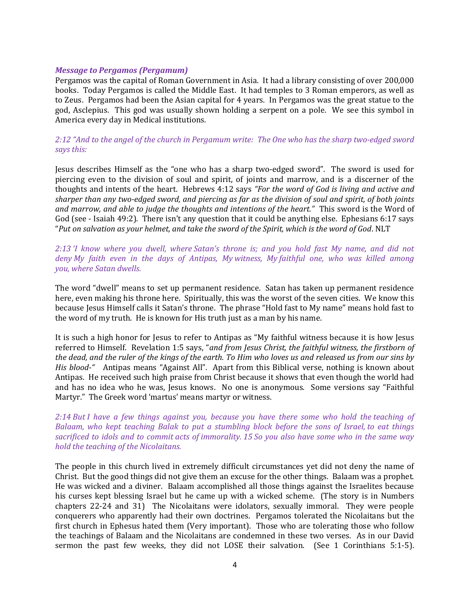#### Message to Pergamos (Pergamum)

Pergamos was the capital of Roman Government in Asia. It had a library consisting of over 200,000 books. Today Pergamos is called the Middle East. It had temples to 3 Roman emperors, as well as to Zeus. Pergamos had been the Asian capital for 4 years. In Pergamos was the great statue to the god, Asclepius. This god was usually shown holding a serpent on a pole. We see this symbol in America every day in Medical institutions.

# 2:12 "And to the angel of the church in Pergamum write: The One who has the sharp two-edged sword says this:

Jesus describes Himself as the "one who has a sharp two-edged sword". The sword is used for piercing even to the division of soul and spirit, of joints and marrow, and is a discerner of the thoughts and intents of the heart. Hebrews 4:12 says "For the word of God is living and active and sharper than any two-edged sword, and piercing as far as the division of soul and spirit, of both joints and marrow, and able to judge the thoughts and intentions of the heart." This sword is the Word of God (see - Isaiah 49:2). There isn't any question that it could be anything else. Ephesians 6:17 says "Put on salvation as your helmet, and take the sword of the Spirit, which is the word of God. NLT

## 2:13 'I know where you dwell, where Satan's throne is; and you hold fast My name, and did not deny My faith even in the days of Antipas, My witness, My faithful one, who was killed among you, where Satan dwells.

The word "dwell" means to set up permanent residence. Satan has taken up permanent residence here, even making his throne here. Spiritually, this was the worst of the seven cities. We know this because Jesus Himself calls it Satan's throne. The phrase "Hold fast to My name" means hold fast to the word of my truth. He is known for His truth just as a man by his name.

It is such a high honor for Jesus to refer to Antipas as "My faithful witness because it is how Jesus referred to Himself. Revelation 1:5 says, "and from Jesus Christ, the faithful witness, the firstborn of the dead, and the ruler of the kings of the earth. To Him who loves us and released us from our sins by His blood-" Antipas means "Against All". Apart from this Biblical verse, nothing is known about Antipas. He received such high praise from Christ because it shows that even though the world had and has no idea who he was, Jesus knows. No one is anonymous. Some versions say "Faithful Martyr." The Greek word 'martus' means martyr or witness.

# 2:14 But I have a few things against you, because you have there some who hold the teaching of Balaam, who kept teaching Balak to put a stumbling block before the sons of Israel, to eat things sacrificed to idols and to commit acts of immorality. 15 So you also have some who in the same way hold the teaching of the Nicolaitans.

The people in this church lived in extremely difficult circumstances yet did not deny the name of Christ. But the good things did not give them an excuse for the other things. Balaam was a prophet. He was wicked and a diviner. Balaam accomplished all those things against the Israelites because his curses kept blessing Israel but he came up with a wicked scheme. (The story is in Numbers chapters 22-24 and 31) The Nicolaitans were idolators, sexually immoral. They were people conquerers who apparently had their own doctrines. Pergamos tolerated the Nicolaitans but the first church in Ephesus hated them (Very important). Those who are tolerating those who follow the teachings of Balaam and the Nicolaitans are condemned in these two verses. As in our David sermon the past few weeks, they did not LOSE their salvation. (See 1 Corinthians 5:1-5).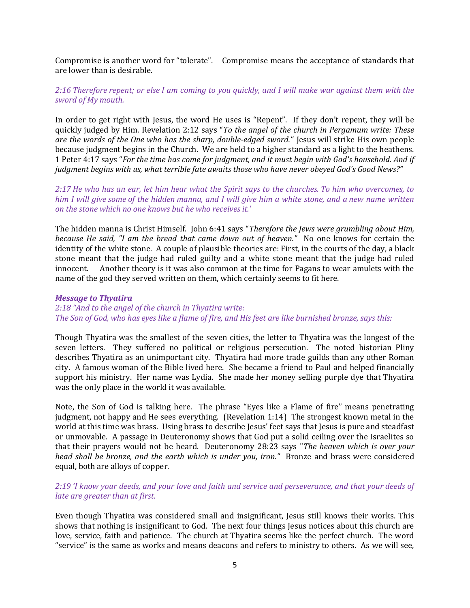Compromise is another word for "tolerate". Compromise means the acceptance of standards that are lower than is desirable.

# 2:16 Therefore repent; or else I am coming to you quickly, and I will make war against them with the sword of My mouth.

In order to get right with Jesus, the word He uses is "Repent". If they don't repent, they will be quickly judged by Him. Revelation 2:12 says "To the angel of the church in Pergamum write: These are the words of the One who has the sharp, double-edged sword." Jesus will strike His own people because judgment begins in the Church. We are held to a higher standard as a light to the heathens. 1 Peter 4:17 says "For the time has come for judgment, and it must begin with God's household. And if judgment begins with us, what terrible fate awaits those who have never obeyed God's Good News?"

2:17 He who has an ear, let him hear what the Spirit says to the churches. To him who overcomes, to him I will give some of the hidden manna, and I will give him a white stone, and a new name written on the stone which no one knows but he who receives it.'

The hidden manna is Christ Himself. John 6:41 says "Therefore the Jews were grumbling about Him, because He said, "I am the bread that came down out of heaven." No one knows for certain the identity of the white stone. A couple of plausible theories are: First, in the courts of the day, a black stone meant that the judge had ruled guilty and a white stone meant that the judge had ruled innocent. Another theory is it was also common at the time for Pagans to wear amulets with the name of the god they served written on them, which certainly seems to fit here.

### Message to Thyatira

### 2:18 "And to the angel of the church in Thyatira write: The Son of God, who has eyes like a flame of fire, and His feet are like burnished bronze, says this:

Though Thyatira was the smallest of the seven cities, the letter to Thyatira was the longest of the seven letters. They suffered no political or religious persecution. The noted historian Pliny describes Thyatira as an unimportant city. Thyatira had more trade guilds than any other Roman city. A famous woman of the Bible lived here. She became a friend to Paul and helped financially support his ministry. Her name was Lydia. She made her money selling purple dye that Thyatira was the only place in the world it was available.

Note, the Son of God is talking here. The phrase "Eyes like a Flame of fire" means penetrating judgment, not happy and He sees everything. (Revelation 1:14) The strongest known metal in the world at this time was brass. Using brass to describe Jesus' feet says that Jesus is pure and steadfast or unmovable. A passage in Deuteronomy shows that God put a solid ceiling over the Israelites so that their prayers would not be heard. Deuteronomy 28:23 says "The heaven which is over your head shall be bronze, and the earth which is under you, iron." Bronze and brass were considered equal, both are alloys of copper.

# 2:19 'I know your deeds, and your love and faith and service and perseverance, and that your deeds of late are greater than at first.

Even though Thyatira was considered small and insignificant, Jesus still knows their works. This shows that nothing is insignificant to God. The next four things Jesus notices about this church are love, service, faith and patience. The church at Thyatira seems like the perfect church. The word "service" is the same as works and means deacons and refers to ministry to others. As we will see,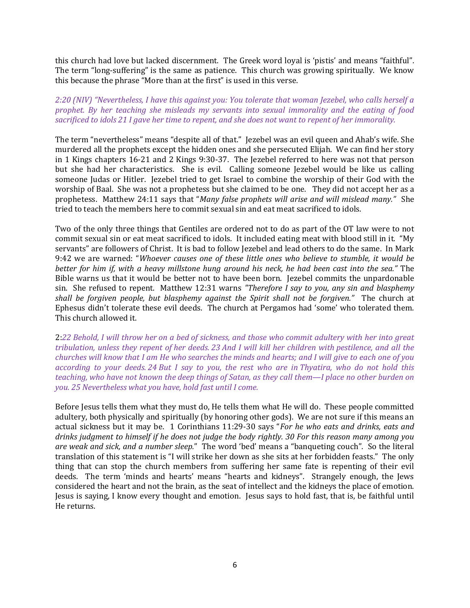this church had love but lacked discernment. The Greek word loyal is 'pistis' and means "faithful". The term "long-suffering" is the same as patience. This church was growing spiritually. We know this because the phrase "More than at the first" is used in this verse.

2:20 (NIV) "Nevertheless, I have this against you: You tolerate that woman Jezebel, who calls herself a prophet. By her teaching she misleads my servants into sexual immorality and the eating of food sacrificed to idols 21 I gave her time to repent, and she does not want to repent of her immorality.

The term "nevertheless" means "despite all of that." Jezebel was an evil queen and Ahab's wife. She murdered all the prophets except the hidden ones and she persecuted Elijah. We can find her story in 1 Kings chapters 16-21 and 2 Kings 9:30-37. The Jezebel referred to here was not that person but she had her characteristics. She is evil. Calling someone Jezebel would be like us calling someone Judas or Hitler. Jezebel tried to get Israel to combine the worship of their God with the worship of Baal. She was not a prophetess but she claimed to be one. They did not accept her as a prophetess. Matthew 24:11 says that "Many false prophets will arise and will mislead many." She tried to teach the members here to commit sexual sin and eat meat sacrificed to idols.

Two of the only three things that Gentiles are ordered not to do as part of the OT law were to not commit sexual sin or eat meat sacrificed to idols. It included eating meat with blood still in it. "My servants" are followers of Christ. It is bad to follow Jezebel and lead others to do the same. In Mark 9:42 we are warned: "Whoever causes one of these little ones who believe to stumble, it would be better for him if, with a heavy millstone hung around his neck, he had been cast into the sea." The Bible warns us that it would be better not to have been born. Jezebel commits the unpardonable sin. She refused to repent. Matthew 12:31 warns "Therefore I say to you, any sin and blasphemy shall be forgiven people, but blasphemy against the Spirit shall not be forgiven." The church at Ephesus didn't tolerate these evil deeds. The church at Pergamos had 'some' who tolerated them. This church allowed it.

2:22 Behold, I will throw her on a bed of sickness, and those who commit adultery with her into great tribulation, unless they repent of her deeds. 23 And I will kill her children with pestilence, and all the churches will know that I am He who searches the minds and hearts; and I will give to each one of you according to your deeds. 24 But I say to you, the rest who are in Thyatira, who do not hold this teaching, who have not known the deep things of Satan, as they call them—I place no other burden on you. 25 Nevertheless what you have, hold fast until I come.

Before Jesus tells them what they must do, He tells them what He will do. These people committed adultery, both physically and spiritually (by honoring other gods). We are not sure if this means an actual sickness but it may be. 1 Corinthians 11:29-30 says "For he who eats and drinks, eats and drinks judgment to himself if he does not judge the body rightly. 30 For this reason many among you are weak and sick, and a number sleep." The word 'bed' means a "banqueting couch". So the literal translation of this statement is "I will strike her down as she sits at her forbidden feasts." The only thing that can stop the church members from suffering her same fate is repenting of their evil deeds. The term 'minds and hearts' means "hearts and kidneys". Strangely enough, the Jews considered the heart and not the brain, as the seat of intellect and the kidneys the place of emotion. Jesus is saying, I know every thought and emotion. Jesus says to hold fast, that is, be faithful until He returns.